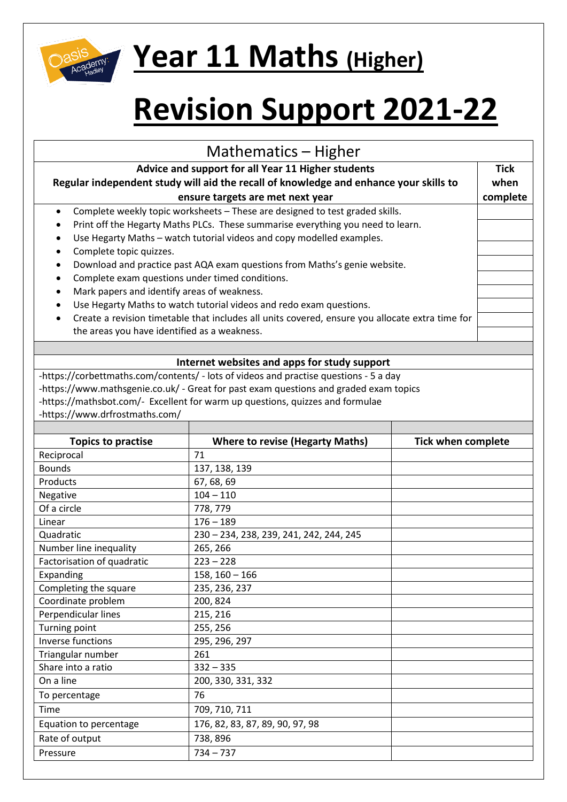

## **Year 11 Maths (Higher)**

## **Revision Support 2021-22**

| Mathematics – Higher                                                                                                                                                            |                                                                                       |                           |  |  |
|---------------------------------------------------------------------------------------------------------------------------------------------------------------------------------|---------------------------------------------------------------------------------------|---------------------------|--|--|
| Advice and support for all Year 11 Higher students<br>Regular independent study will aid the recall of knowledge and enhance your skills to<br>ensure targets are met next year |                                                                                       |                           |  |  |
| complete<br>Complete weekly topic worksheets - These are designed to test graded skills.<br>$\bullet$                                                                           |                                                                                       |                           |  |  |
| Print off the Hegarty Maths PLCs. These summarise everything you need to learn.                                                                                                 |                                                                                       |                           |  |  |
| Use Hegarty Maths - watch tutorial videos and copy modelled examples.<br>$\bullet$                                                                                              |                                                                                       |                           |  |  |
| Complete topic quizzes.<br>$\bullet$                                                                                                                                            |                                                                                       |                           |  |  |
| Download and practice past AQA exam questions from Maths's genie website.                                                                                                       |                                                                                       |                           |  |  |
| Complete exam questions under timed conditions.<br>٠                                                                                                                            |                                                                                       |                           |  |  |
| Mark papers and identify areas of weakness.                                                                                                                                     |                                                                                       |                           |  |  |
| Use Hegarty Maths to watch tutorial videos and redo exam questions.                                                                                                             |                                                                                       |                           |  |  |
| Create a revision timetable that includes all units covered, ensure you allocate extra time for                                                                                 |                                                                                       |                           |  |  |
| the areas you have identified as a weakness.                                                                                                                                    |                                                                                       |                           |  |  |
|                                                                                                                                                                                 |                                                                                       |                           |  |  |
|                                                                                                                                                                                 | Internet websites and apps for study support                                          |                           |  |  |
|                                                                                                                                                                                 | -https://corbettmaths.com/contents/ - lots of videos and practise questions - 5 a day |                           |  |  |
|                                                                                                                                                                                 | -https://www.mathsgenie.co.uk/ - Great for past exam questions and graded exam topics |                           |  |  |
|                                                                                                                                                                                 | -https://mathsbot.com/- Excellent for warm up questions, quizzes and formulae         |                           |  |  |
| -https://www.drfrostmaths.com/                                                                                                                                                  |                                                                                       |                           |  |  |
|                                                                                                                                                                                 |                                                                                       |                           |  |  |
| <b>Topics to practise</b>                                                                                                                                                       | <b>Where to revise (Hegarty Maths)</b>                                                | <b>Tick when complete</b> |  |  |
| Reciprocal                                                                                                                                                                      | 71                                                                                    |                           |  |  |
| <b>Bounds</b>                                                                                                                                                                   | 137, 138, 139                                                                         |                           |  |  |
| Products                                                                                                                                                                        | 67, 68, 69                                                                            |                           |  |  |
| Negative                                                                                                                                                                        | $104 - 110$                                                                           |                           |  |  |
| Of a circle                                                                                                                                                                     | 778, 779                                                                              |                           |  |  |
| Linear                                                                                                                                                                          | $176 - 189$                                                                           |                           |  |  |
| Quadratic                                                                                                                                                                       | 230 - 234, 238, 239, 241, 242, 244, 245                                               |                           |  |  |
| Number line inequality                                                                                                                                                          | 265, 266                                                                              |                           |  |  |
| Factorisation of quadratic                                                                                                                                                      | $223 - 228$                                                                           |                           |  |  |
| Expanding                                                                                                                                                                       | $158, 160 - 166$                                                                      |                           |  |  |
| Completing the square                                                                                                                                                           | 235, 236, 237                                                                         |                           |  |  |
| Coordinate problem                                                                                                                                                              | 200, 824                                                                              |                           |  |  |
| Perpendicular lines                                                                                                                                                             | 215, 216                                                                              |                           |  |  |
| Turning point                                                                                                                                                                   | 255, 256                                                                              |                           |  |  |
| <b>Inverse functions</b>                                                                                                                                                        | 295, 296, 297                                                                         |                           |  |  |
| Triangular number                                                                                                                                                               | 261                                                                                   |                           |  |  |
| Share into a ratio                                                                                                                                                              | $332 - 335$                                                                           |                           |  |  |
| On a line                                                                                                                                                                       | 200, 330, 331, 332                                                                    |                           |  |  |
| To percentage                                                                                                                                                                   | 76                                                                                    |                           |  |  |
| Time                                                                                                                                                                            | 709, 710, 711                                                                         |                           |  |  |
| Equation to percentage                                                                                                                                                          | 176, 82, 83, 87, 89, 90, 97, 98                                                       |                           |  |  |
| Rate of output                                                                                                                                                                  | 738,896                                                                               |                           |  |  |
|                                                                                                                                                                                 |                                                                                       |                           |  |  |